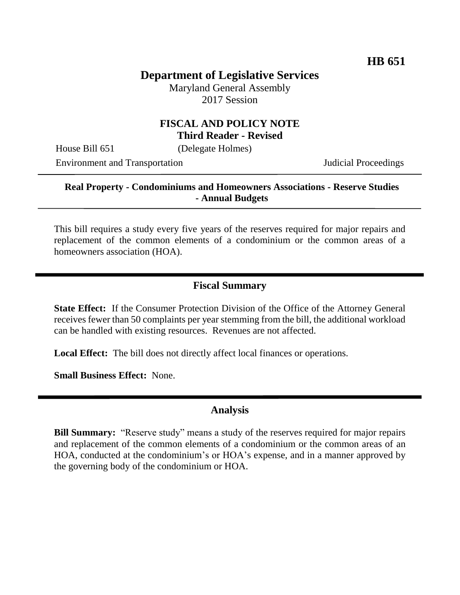## **Department of Legislative Services**

Maryland General Assembly 2017 Session

#### **FISCAL AND POLICY NOTE Third Reader - Revised**

House Bill 651 (Delegate Holmes)

Environment and Transportation Judicial Proceedings

#### **Real Property - Condominiums and Homeowners Associations - Reserve Studies - Annual Budgets**

This bill requires a study every five years of the reserves required for major repairs and replacement of the common elements of a condominium or the common areas of a homeowners association (HOA).

#### **Fiscal Summary**

**State Effect:** If the Consumer Protection Division of the Office of the Attorney General receives fewer than 50 complaints per year stemming from the bill, the additional workload can be handled with existing resources. Revenues are not affected.

**Local Effect:** The bill does not directly affect local finances or operations.

**Small Business Effect:** None.

#### **Analysis**

**Bill Summary:** "Reserve study" means a study of the reserves required for major repairs and replacement of the common elements of a condominium or the common areas of an HOA, conducted at the condominium's or HOA's expense, and in a manner approved by the governing body of the condominium or HOA.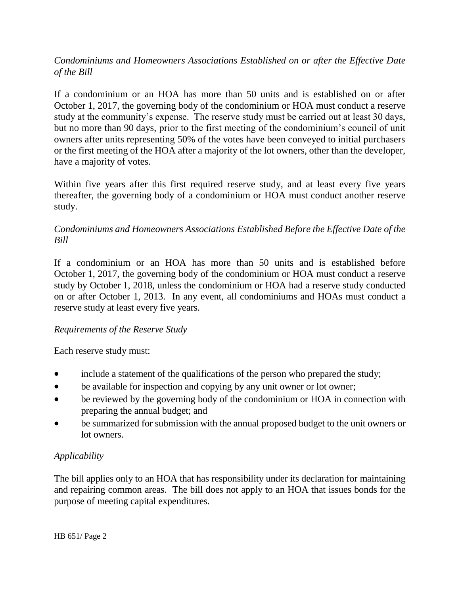#### *Condominiums and Homeowners Associations Established on or after the Effective Date of the Bill*

If a condominium or an HOA has more than 50 units and is established on or after October 1, 2017, the governing body of the condominium or HOA must conduct a reserve study at the community's expense. The reserve study must be carried out at least 30 days, but no more than 90 days, prior to the first meeting of the condominium's council of unit owners after units representing 50% of the votes have been conveyed to initial purchasers or the first meeting of the HOA after a majority of the lot owners, other than the developer, have a majority of votes.

Within five years after this first required reserve study, and at least every five years thereafter, the governing body of a condominium or HOA must conduct another reserve study.

#### *Condominiums and Homeowners Associations Established Before the Effective Date of the Bill*

If a condominium or an HOA has more than 50 units and is established before October 1, 2017, the governing body of the condominium or HOA must conduct a reserve study by October 1, 2018, unless the condominium or HOA had a reserve study conducted on or after October 1, 2013. In any event, all condominiums and HOAs must conduct a reserve study at least every five years.

#### *Requirements of the Reserve Study*

Each reserve study must:

- include a statement of the qualifications of the person who prepared the study;
- be available for inspection and copying by any unit owner or lot owner;
- be reviewed by the governing body of the condominium or HOA in connection with preparing the annual budget; and
- be summarized for submission with the annual proposed budget to the unit owners or lot owners.

### *Applicability*

The bill applies only to an HOA that has responsibility under its declaration for maintaining and repairing common areas. The bill does not apply to an HOA that issues bonds for the purpose of meeting capital expenditures.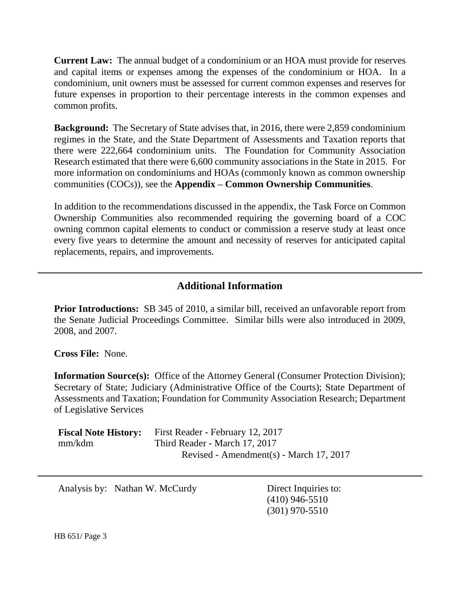**Current Law:** The annual budget of a condominium or an HOA must provide for reserves and capital items or expenses among the expenses of the condominium or HOA. In a condominium, unit owners must be assessed for current common expenses and reserves for future expenses in proportion to their percentage interests in the common expenses and common profits.

**Background:** The Secretary of State advises that, in 2016, there were 2,859 condominium regimes in the State, and the State Department of Assessments and Taxation reports that there were 222,664 condominium units. The Foundation for Community Association Research estimated that there were 6,600 community associations in the State in 2015. For more information on condominiums and HOAs (commonly known as common ownership communities (COCs)), see the **Appendix – Common Ownership Communities**.

In addition to the recommendations discussed in the appendix, the Task Force on Common Ownership Communities also recommended requiring the governing board of a COC owning common capital elements to conduct or commission a reserve study at least once every five years to determine the amount and necessity of reserves for anticipated capital replacements, repairs, and improvements.

## **Additional Information**

**Prior Introductions:** SB 345 of 2010, a similar bill, received an unfavorable report from the Senate Judicial Proceedings Committee. Similar bills were also introduced in 2009, 2008, and 2007.

**Cross File:** None.

**Information Source(s):** Office of the Attorney General (Consumer Protection Division); Secretary of State; Judiciary (Administrative Office of the Courts); State Department of Assessments and Taxation; Foundation for Community Association Research; Department of Legislative Services

| <b>Fiscal Note History:</b> | First Reader - February 12, 2017        |
|-----------------------------|-----------------------------------------|
| mm/kdm                      | Third Reader - March 17, 2017           |
|                             | Revised - Amendment(s) - March 17, 2017 |

Analysis by: Nathan W. McCurdy Direct Inquiries to:

(410) 946-5510 (301) 970-5510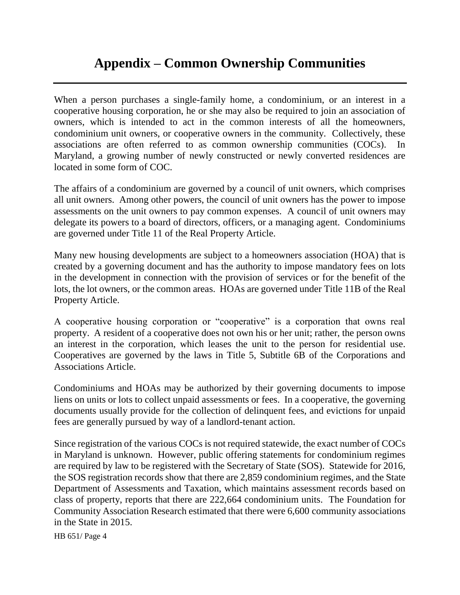# **Appendix – Common Ownership Communities**

When a person purchases a single-family home, a condominium, or an interest in a cooperative housing corporation, he or she may also be required to join an association of owners, which is intended to act in the common interests of all the homeowners, condominium unit owners, or cooperative owners in the community. Collectively, these associations are often referred to as common ownership communities (COCs). Maryland, a growing number of newly constructed or newly converted residences are located in some form of COC.

The affairs of a condominium are governed by a council of unit owners, which comprises all unit owners. Among other powers, the council of unit owners has the power to impose assessments on the unit owners to pay common expenses. A council of unit owners may delegate its powers to a board of directors, officers, or a managing agent. Condominiums are governed under Title 11 of the Real Property Article.

Many new housing developments are subject to a homeowners association (HOA) that is created by a governing document and has the authority to impose mandatory fees on lots in the development in connection with the provision of services or for the benefit of the lots, the lot owners, or the common areas. HOAs are governed under Title 11B of the Real Property Article.

A cooperative housing corporation or "cooperative" is a corporation that owns real property. A resident of a cooperative does not own his or her unit; rather, the person owns an interest in the corporation, which leases the unit to the person for residential use. Cooperatives are governed by the laws in Title 5, Subtitle 6B of the Corporations and Associations Article.

Condominiums and HOAs may be authorized by their governing documents to impose liens on units or lots to collect unpaid assessments or fees. In a cooperative, the governing documents usually provide for the collection of delinquent fees, and evictions for unpaid fees are generally pursued by way of a landlord-tenant action.

Since registration of the various COCs is not required statewide, the exact number of COCs in Maryland is unknown. However, public offering statements for condominium regimes are required by law to be registered with the Secretary of State (SOS). Statewide for 2016, the SOS registration records show that there are 2,859 condominium regimes, and the State Department of Assessments and Taxation, which maintains assessment records based on class of property, reports that there are 222,664 condominium units. The Foundation for Community Association Research estimated that there were 6,600 community associations in the State in 2015.

HB 651/ Page 4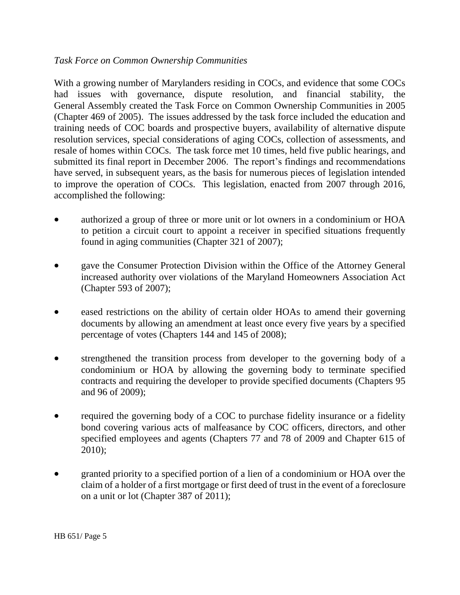#### *Task Force on Common Ownership Communities*

With a growing number of Marylanders residing in COCs, and evidence that some COCs had issues with governance, dispute resolution, and financial stability, the General Assembly created the Task Force on Common Ownership Communities in 2005 (Chapter 469 of 2005). The issues addressed by the task force included the education and training needs of COC boards and prospective buyers, availability of alternative dispute resolution services, special considerations of aging COCs, collection of assessments, and resale of homes within COCs. The task force met 10 times, held five public hearings, and submitted its final report in December 2006. The report's findings and recommendations have served, in subsequent years, as the basis for numerous pieces of legislation intended to improve the operation of COCs. This legislation, enacted from 2007 through 2016, accomplished the following:

- authorized a group of three or more unit or lot owners in a condominium or HOA to petition a circuit court to appoint a receiver in specified situations frequently found in aging communities (Chapter 321 of 2007);
- gave the Consumer Protection Division within the Office of the Attorney General increased authority over violations of the Maryland Homeowners Association Act (Chapter 593 of 2007);
- eased restrictions on the ability of certain older HOAs to amend their governing documents by allowing an amendment at least once every five years by a specified percentage of votes (Chapters 144 and 145 of 2008);
- strengthened the transition process from developer to the governing body of a condominium or HOA by allowing the governing body to terminate specified contracts and requiring the developer to provide specified documents (Chapters 95 and 96 of 2009);
- required the governing body of a COC to purchase fidelity insurance or a fidelity bond covering various acts of malfeasance by COC officers, directors, and other specified employees and agents (Chapters 77 and 78 of 2009 and Chapter 615 of 2010);
- granted priority to a specified portion of a lien of a condominium or HOA over the claim of a holder of a first mortgage or first deed of trust in the event of a foreclosure on a unit or lot (Chapter 387 of 2011);